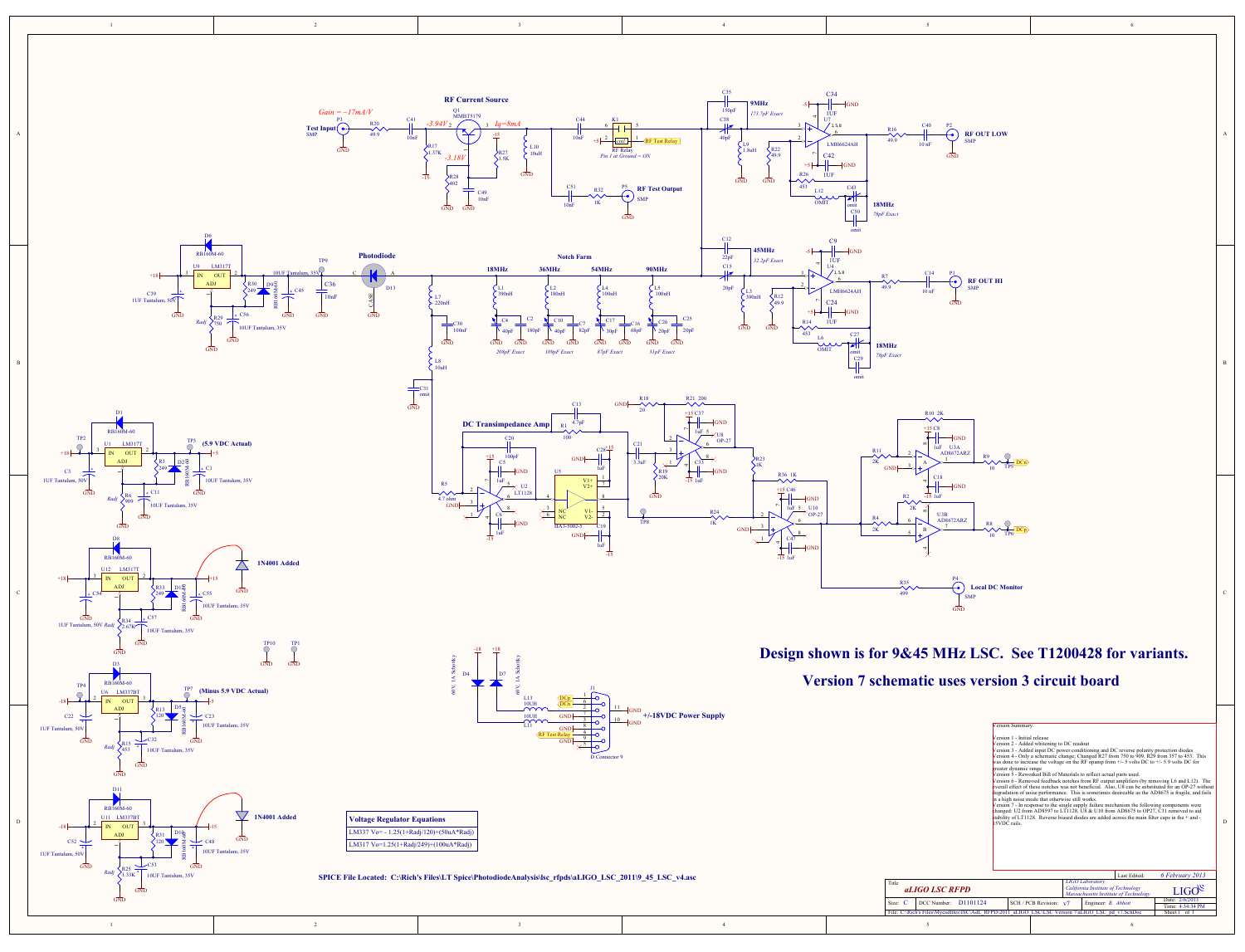